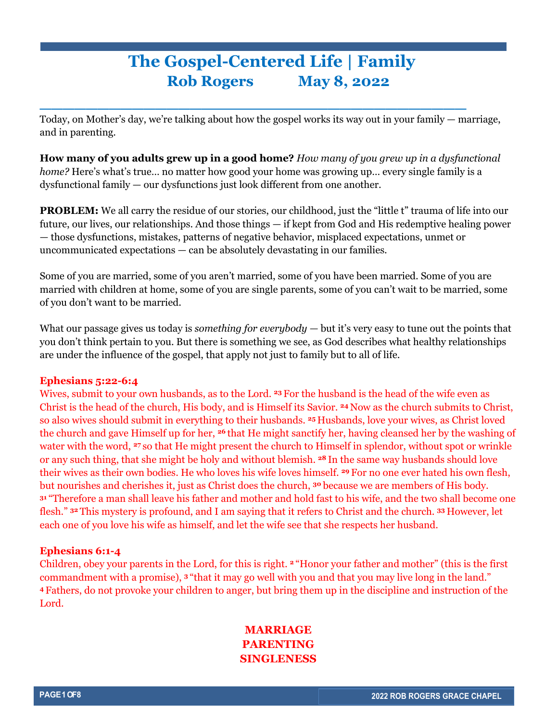# **The Gospel-Centered Life | Family Rob Rogers May 8, 2022**

Today, on Mother's day, we're talking about how the gospel works its way out in your family — marriage, and in parenting.

**\_\_\_\_\_\_\_\_\_\_\_\_\_\_\_\_\_\_\_\_\_\_\_\_\_\_\_\_\_\_\_\_\_\_\_\_\_**

**How many of you adults grew up in a good home?** *How many of you grew up in a dysfunctional home?* Here's what's true… no matter how good your home was growing up… every single family is a dysfunctional family — our dysfunctions just look different from one another.

**PROBLEM:** We all carry the residue of our stories, our childhood, just the "little t" trauma of life into our future, our lives, our relationships. And those things — if kept from God and His redemptive healing power — those dysfunctions, mistakes, patterns of negative behavior, misplaced expectations, unmet or uncommunicated expectations — can be absolutely devastating in our families.

Some of you are married, some of you aren't married, some of you have been married. Some of you are married with children at home, some of you are single parents, some of you can't wait to be married, some of you don't want to be married.

What our passage gives us today is *something for everybody* — but it's very easy to tune out the points that you don't think pertain to you. But there is something we see, as God describes what healthy relationships are under the influence of the gospel, that apply not just to family but to all of life.

## **Ephesians 5:22-6:4**

Wives, submit to your own husbands, as to the Lord. **<sup>23</sup>** For the husband is the head of the wife even as Christ is the head of the church, His body, and is Himself its Savior. **<sup>24</sup>** Now as the church submits to Christ, so also wives should submit in everything to their husbands. **<sup>25</sup>** Husbands, love your wives, as Christ loved the church and gave Himself up for her, **<sup>26</sup>** that He might sanctify her, having cleansed her by the washing of water with the word, **<sup>27</sup>** so that He might present the church to Himself in splendor, without spot or wrinkle or any such thing, that she might be holy and without blemish. **<sup>28</sup>** In the same way husbands should love their wives as their own bodies. He who loves his wife loves himself. **<sup>29</sup>** For no one ever hated his own flesh, but nourishes and cherishes it, just as Christ does the church, **<sup>30</sup>** because we are members of His body. **<sup>31</sup>** "Therefore a man shall leave his father and mother and hold fast to his wife, and the two shall become one flesh." **<sup>32</sup>** This mystery is profound, and I am saying that it refers to Christ and the church. **<sup>33</sup>** However, let each one of you love his wife as himself, and let the wife see that she respects her husband.

## **Ephesians 6:1-4**

Children, obey your parents in the Lord, for this is right. **<sup>2</sup>** "Honor your father and mother" (this is the first commandment with a promise), **<sup>3</sup>** "that it may go well with you and that you may live long in the land." **<sup>4</sup>** Fathers, do not provoke your children to anger, but bring them up in the discipline and instruction of the Lord.

## **MARRIAGE PARENTING SINGLENESS**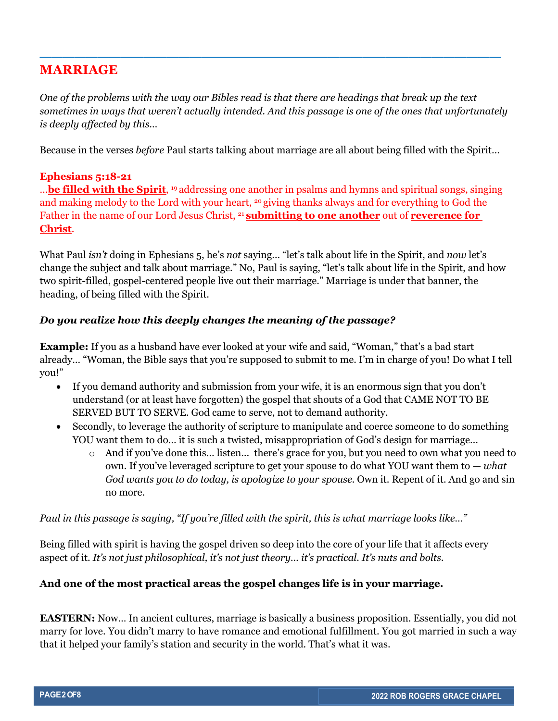## **MARRIAGE**

*One of the problems with the way our Bibles read is that there are headings that break up the text sometimes in ways that weren't actually intended. And this passage is one of the ones that unfortunately is deeply affected by this…* 

**\_\_\_\_\_\_\_\_\_\_\_\_\_\_\_\_\_\_\_\_\_\_\_\_\_\_\_\_\_\_\_\_\_\_\_\_\_\_\_\_**

Because in the verses *before* Paul starts talking about marriage are all about being filled with the Spirit…

## **Ephesians 5:18-21**

…**be filled with the Spirit**, 19 addressing one another in psalms and hymns and spiritual songs, singing and making melody to the Lord with your heart, 20 giving thanks always and for everything to God the Father in the name of our Lord Jesus Christ, 21 **submitting to one another** out of **reverence for Christ**.

What Paul *isn't* doing in Ephesians 5, he's *not* saying… "let's talk about life in the Spirit, and *now* let's change the subject and talk about marriage." No, Paul is saying, "let's talk about life in the Spirit, and how two spirit-filled, gospel-centered people live out their marriage." Marriage is under that banner, the heading, of being filled with the Spirit.

#### *Do you realize how this deeply changes the meaning of the passage?*

**Example:** If you as a husband have ever looked at your wife and said, "Woman," that's a bad start already… "Woman, the Bible says that you're supposed to submit to me. I'm in charge of you! Do what I tell you!"

- If you demand authority and submission from your wife, it is an enormous sign that you don't understand (or at least have forgotten) the gospel that shouts of a God that CAME NOT TO BE SERVED BUT TO SERVE. God came to serve, not to demand authority.
- Secondly, to leverage the authority of scripture to manipulate and coerce someone to do something YOU want them to do… it is such a twisted, misappropriation of God's design for marriage…
	- o And if you've done this… listen… there's grace for you, but you need to own what you need to own. If you've leveraged scripture to get your spouse to do what YOU want them to — *what God wants you to do today, is apologize to your spouse.* Own it. Repent of it. And go and sin no more.

*Paul in this passage is saying, "If you're filled with the spirit, this is what marriage looks like…"*

Being filled with spirit is having the gospel driven so deep into the core of your life that it affects every aspect of it. *It's not just philosophical, it's not just theory… it's practical. It's nuts and bolts.* 

## **And one of the most practical areas the gospel changes life is in your marriage.**

**EASTERN:** Now… In ancient cultures, marriage is basically a business proposition. Essentially, you did not marry for love. You didn't marry to have romance and emotional fulfillment. You got married in such a way that it helped your family's station and security in the world. That's what it was.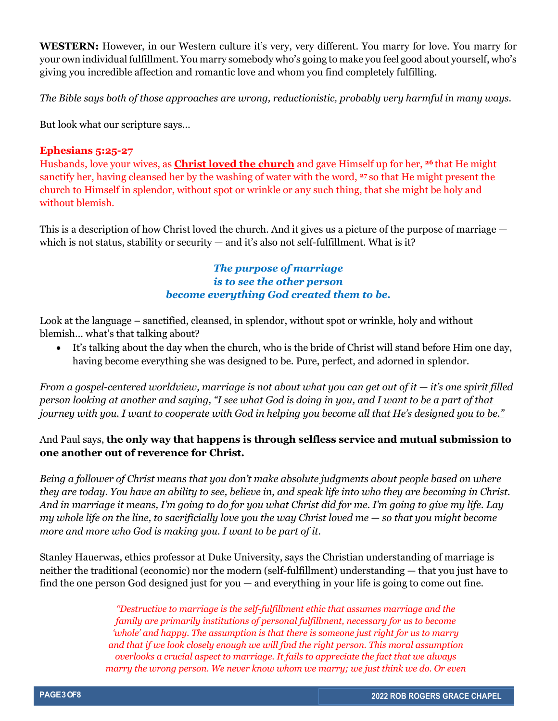**WESTERN:** However, in our Western culture it's very, very different. You marry for love. You marry for your own individual fulfillment. You marry somebody who's going to make you feel good about yourself, who's giving you incredible affection and romantic love and whom you find completely fulfilling.

*The Bible says both of those approaches are wrong, reductionistic, probably very harmful in many ways.*

But look what our scripture says…

#### **Ephesians 5:25-27**

Husbands, love your wives, as **Christ loved the church** and gave Himself up for her, **<sup>26</sup>** that He might sanctify her, having cleansed her by the washing of water with the word, **<sup>27</sup>** so that He might present the church to Himself in splendor, without spot or wrinkle or any such thing, that she might be holy and without blemish.

This is a description of how Christ loved the church. And it gives us a picture of the purpose of marriage which is not status, stability or security — and it's also not self-fulfillment. What is it?

## *The purpose of marriage is to see the other person become everything God created them to be.*

Look at the language – sanctified, cleansed, in splendor, without spot or wrinkle, holy and without blemish… what's that talking about?

• It's talking about the day when the church, who is the bride of Christ will stand before Him one day, having become everything she was designed to be. Pure, perfect, and adorned in splendor.

*From a gospel-centered worldview, marriage is not about what you can get out of it*  $-$  *<i>it's one spirit filled person looking at another and saying, "I see what God is doing in you, and I want to be a part of that journey with you. I want to cooperate with God in helping you become all that He's designed you to be."*

## And Paul says, **the only way that happens is through selfless service and mutual submission to one another out of reverence for Christ.**

*Being a follower of Christ means that you don't make absolute judgments about people based on where they are today. You have an ability to see, believe in, and speak life into who they are becoming in Christ. And in marriage it means, I'm going to do for you what Christ did for me. I'm going to give my life. Lay my whole life on the line, to sacrificially love you the way Christ loved me — so that you might become more and more who God is making you. I want to be part of it.* 

Stanley Hauerwas, ethics professor at Duke University, says the Christian understanding of marriage is neither the traditional (economic) nor the modern (self-fulfillment) understanding — that you just have to find the one person God designed just for you — and everything in your life is going to come out fine.

> *"Destructive to marriage is the self-fulfillment ethic that assumes marriage and the family are primarily institutions of personal fulfillment, necessary for us to become 'whole' and happy. The assumption is that there is someone just right for us to marry and that if we look closely enough we will find the right person. This moral assumption overlooks a crucial aspect to marriage. It fails to appreciate the fact that we always marry the wrong person. We never know whom we marry; we just think we do. Or even*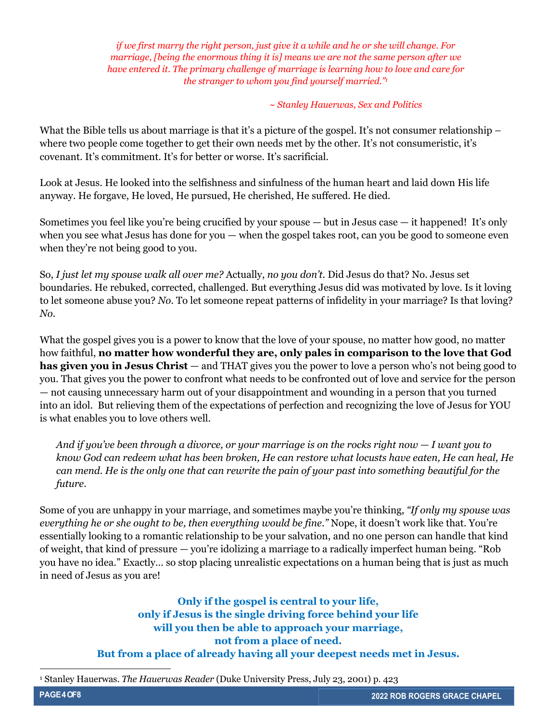*if we first marry the right person, just give it a while and he or she will change. For marriage, [being the enormous thing it is] means we are not the same person after we have entered it. The primary challenge of marriage is learning how to love and care for the stranger to whom you find yourself married."1*

*~ Stanley Hauerwas, Sex and Politics*

What the Bible tells us about marriage is that it's a picture of the gospel. It's not consumer relationship – where two people come together to get their own needs met by the other. It's not consumeristic, it's covenant. It's commitment. It's for better or worse. It's sacrificial.

Look at Jesus. He looked into the selfishness and sinfulness of the human heart and laid down His life anyway. He forgave, He loved, He pursued, He cherished, He suffered. He died.

Sometimes you feel like you're being crucified by your spouse — but in Jesus case — it happened! It's only when you see what Jesus has done for you — when the gospel takes root, can you be good to someone even when they're not being good to you.

So, *I just let my spouse walk all over me?* Actually, *no you don't.* Did Jesus do that? No. Jesus set boundaries. He rebuked, corrected, challenged. But everything Jesus did was motivated by love. Is it loving to let someone abuse you? *No.* To let someone repeat patterns of infidelity in your marriage? Is that loving? *No.*

What the gospel gives you is a power to know that the love of your spouse, no matter how good, no matter how faithful, **no matter how wonderful they are, only pales in comparison to the love that God has given you in Jesus Christ** — and THAT gives you the power to love a person who's not being good to you. That gives you the power to confront what needs to be confronted out of love and service for the person — not causing unnecessary harm out of your disappointment and wounding in a person that you turned into an idol. But relieving them of the expectations of perfection and recognizing the love of Jesus for YOU is what enables you to love others well.

*And if you've been through a divorce, or your marriage is on the rocks right now — I want you to know God can redeem what has been broken, He can restore what locusts have eaten, He can heal, He can mend. He is the only one that can rewrite the pain of your past into something beautiful for the future.* 

Some of you are unhappy in your marriage, and sometimes maybe you're thinking, *"If only my spouse was everything he or she ought to be, then everything would be fine."* Nope, it doesn't work like that. You're essentially looking to a romantic relationship to be your salvation, and no one person can handle that kind of weight, that kind of pressure — you're idolizing a marriage to a radically imperfect human being. "Rob you have no idea." Exactly… so stop placing unrealistic expectations on a human being that is just as much in need of Jesus as you are!

> **Only if the gospel is central to your life, only if Jesus is the single driving force behind your life will you then be able to approach your marriage, not from a place of need. But from a place of already having all your deepest needs met in Jesus.**

<sup>1</sup> Stanley Hauerwas. *The Hauerwas Reader* (Duke University Press, July 23, 2001) p. 423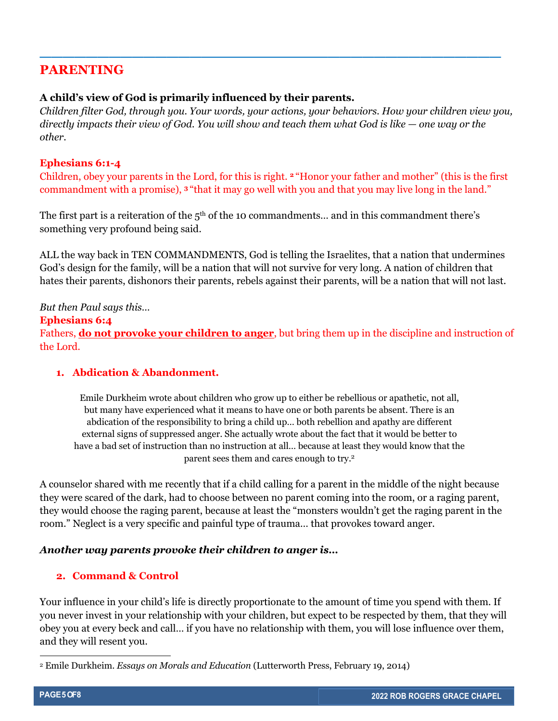## **PARENTING**

## **A child's view of God is primarily influenced by their parents.**

*Children filter God, through you. Your words, your actions, your behaviors. How your children view you, directly impacts their view of God. You will show and teach them what God is like — one way or the other.*

**\_\_\_\_\_\_\_\_\_\_\_\_\_\_\_\_\_\_\_\_\_\_\_\_\_\_\_\_\_\_\_\_\_\_\_\_\_\_\_\_**

#### **Ephesians 6:1-4**

Children, obey your parents in the Lord, for this is right. **<sup>2</sup>** "Honor your father and mother" (this is the first commandment with a promise), **<sup>3</sup>** "that it may go well with you and that you may live long in the land."

The first part is a reiteration of the  $5<sup>th</sup>$  of the 10 commandments... and in this commandment there's something very profound being said.

ALL the way back in TEN COMMANDMENTS, God is telling the Israelites, that a nation that undermines God's design for the family, will be a nation that will not survive for very long. A nation of children that hates their parents, dishonors their parents, rebels against their parents, will be a nation that will not last.

#### *But then Paul says this…*

#### **Ephesians 6:4**

Fathers, **do not provoke your children to anger**, but bring them up in the discipline and instruction of the Lord.

## **1. Abdication & Abandonment.**

Emile Durkheim wrote about children who grow up to either be rebellious or apathetic, not all, but many have experienced what it means to have one or both parents be absent. There is an abdication of the responsibility to bring a child up… both rebellion and apathy are different external signs of suppressed anger. She actually wrote about the fact that it would be better to have a bad set of instruction than no instruction at all… because at least they would know that the parent sees them and cares enough to try.2

A counselor shared with me recently that if a child calling for a parent in the middle of the night because they were scared of the dark, had to choose between no parent coming into the room, or a raging parent, they would choose the raging parent, because at least the "monsters wouldn't get the raging parent in the room." Neglect is a very specific and painful type of trauma… that provokes toward anger.

## *Another way parents provoke their children to anger is…*

## **2. Command & Control**

Your influence in your child's life is directly proportionate to the amount of time you spend with them. If you never invest in your relationship with your children, but expect to be respected by them, that they will obey you at every beck and call… if you have no relationship with them, you will lose influence over them, and they will resent you.

<sup>2</sup> Emile Durkheim. *Essays on Morals and Education* (Lutterworth Press, February 19, 2014)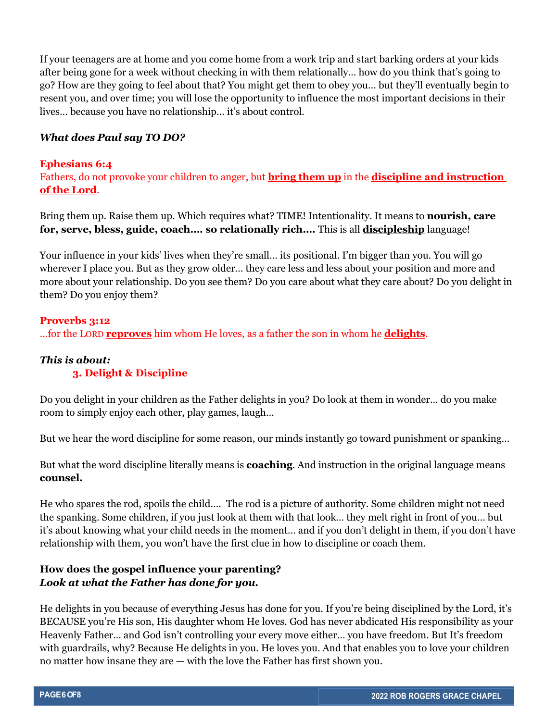If your teenagers are at home and you come home from a work trip and start barking orders at your kids after being gone for a week without checking in with them relationally… how do you think that's going to go? How are they going to feel about that? You might get them to obey you… but they'll eventually begin to resent you, and over time; you will lose the opportunity to influence the most important decisions in their lives… because you have no relationship… it's about control.

### *What does Paul say TO DO?*

#### **Ephesians 6:4**

Fathers, do not provoke your children to anger, but **bring them up** in the **discipline and instruction of the Lord**.

Bring them up. Raise them up. Which requires what? TIME! Intentionality. It means to **nourish, care for, serve, bless, guide, coach…. so relationally rich….** This is all **discipleship** language!

Your influence in your kids' lives when they're small… its positional. I'm bigger than you. You will go wherever I place you. But as they grow older… they care less and less about your position and more and more about your relationship. Do you see them? Do you care about what they care about? Do you delight in them? Do you enjoy them?

## **Proverbs 3:12** …for the LORD **reproves** him whom He loves, as a father the son in whom he **delights**.

## *This is about:*

#### **3. Delight & Discipline**

Do you delight in your children as the Father delights in you? Do look at them in wonder… do you make room to simply enjoy each other, play games, laugh…

But we hear the word discipline for some reason, our minds instantly go toward punishment or spanking…

But what the word discipline literally means is **coaching**. And instruction in the original language means **counsel.**

He who spares the rod, spoils the child…. The rod is a picture of authority. Some children might not need the spanking. Some children, if you just look at them with that look… they melt right in front of you… but it's about knowing what your child needs in the moment… and if you don't delight in them, if you don't have relationship with them, you won't have the first clue in how to discipline or coach them.

## **How does the gospel influence your parenting?** *Look at what the Father has done for you.*

He delights in you because of everything Jesus has done for you. If you're being disciplined by the Lord, it's BECAUSE you're His son, His daughter whom He loves. God has never abdicated His responsibility as your Heavenly Father… and God isn't controlling your every move either… you have freedom. But It's freedom with guardrails, why? Because He delights in you. He loves you. And that enables you to love your children no matter how insane they are — with the love the Father has first shown you.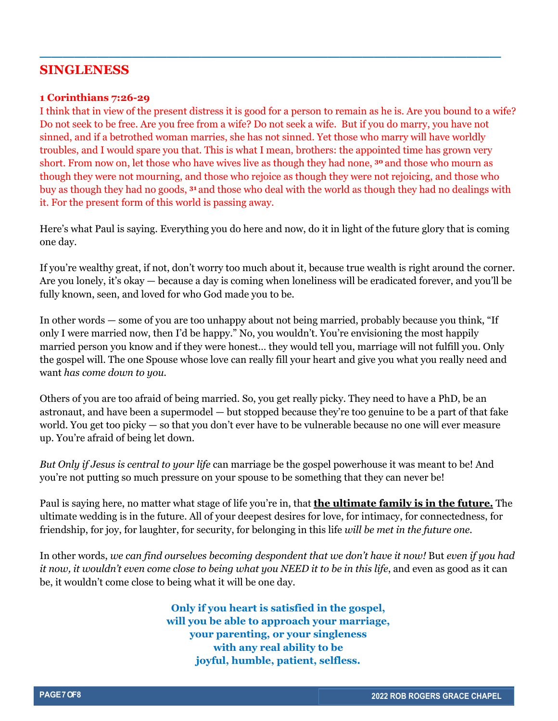## **SINGLENESS**

#### **1 Corinthians 7:26-29**

I think that in view of the present distress it is good for a person to remain as he is. Are you bound to a wife? Do not seek to be free. Are you free from a wife? Do not seek a wife. But if you do marry, you have not sinned, and if a betrothed woman marries, she has not sinned. Yet those who marry will have worldly troubles, and I would spare you that. This is what I mean, brothers: the appointed time has grown very short. From now on, let those who have wives live as though they had none, **<sup>30</sup>** and those who mourn as though they were not mourning, and those who rejoice as though they were not rejoicing, and those who buy as though they had no goods, **<sup>31</sup>** and those who deal with the world as though they had no dealings with it. For the present form of this world is passing away.

**\_\_\_\_\_\_\_\_\_\_\_\_\_\_\_\_\_\_\_\_\_\_\_\_\_\_\_\_\_\_\_\_\_\_\_\_\_\_\_\_**

Here's what Paul is saying. Everything you do here and now, do it in light of the future glory that is coming one day.

If you're wealthy great, if not, don't worry too much about it, because true wealth is right around the corner. Are you lonely, it's okay — because a day is coming when loneliness will be eradicated forever, and you'll be fully known, seen, and loved for who God made you to be.

In other words — some of you are too unhappy about not being married, probably because you think, "If only I were married now, then I'd be happy." No, you wouldn't. You're envisioning the most happily married person you know and if they were honest… they would tell you, marriage will not fulfill you. Only the gospel will. The one Spouse whose love can really fill your heart and give you what you really need and want *has come down to you*.

Others of you are too afraid of being married. So, you get really picky. They need to have a PhD, be an astronaut, and have been a supermodel — but stopped because they're too genuine to be a part of that fake world. You get too picky — so that you don't ever have to be vulnerable because no one will ever measure up. You're afraid of being let down.

*But Only if Jesus is central to your life* can marriage be the gospel powerhouse it was meant to be! And you're not putting so much pressure on your spouse to be something that they can never be!

Paul is saying here, no matter what stage of life you're in, that **the ultimate family is in the future.** The ultimate wedding is in the future. All of your deepest desires for love, for intimacy, for connectedness, for friendship, for joy, for laughter, for security, for belonging in this life *will be met in the future one.* 

In other words, *we can find ourselves becoming despondent that we don't have it now!* But *even if you had it now, it wouldn't even come close to being what you NEED it to be in this life, and even as good as it can* be, it wouldn't come close to being what it will be one day.

> **Only if you heart is satisfied in the gospel, will you be able to approach your marriage, your parenting, or your singleness with any real ability to be joyful, humble, patient, selfless.**